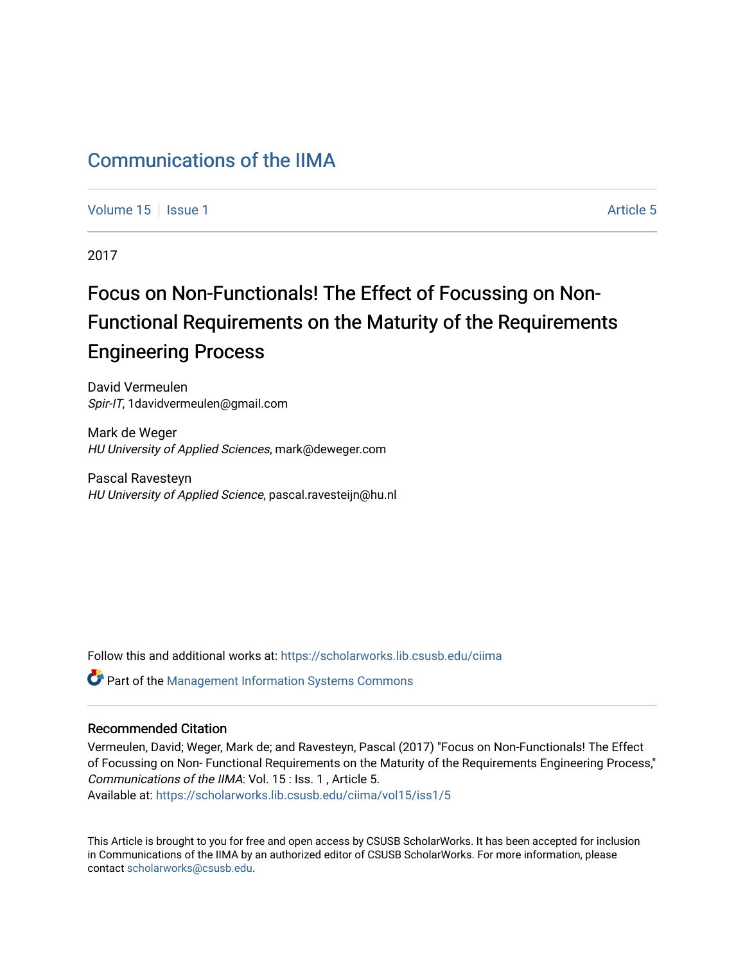## [Communications of the IIMA](https://scholarworks.lib.csusb.edu/ciima)

[Volume 15](https://scholarworks.lib.csusb.edu/ciima/vol15) | [Issue 1](https://scholarworks.lib.csusb.edu/ciima/vol15/iss1) Article 5

2017

# Focus on Non-Functionals! The Effect of Focussing on Non-Functional Requirements on the Maturity of the Requirements Engineering Process

David Vermeulen Spir-IT, 1davidvermeulen@gmail.com

Mark de Weger HU University of Applied Sciences, mark@deweger.com

Pascal Ravesteyn HU University of Applied Science, pascal.ravesteijn@hu.nl

Follow this and additional works at: [https://scholarworks.lib.csusb.edu/ciima](https://scholarworks.lib.csusb.edu/ciima?utm_source=scholarworks.lib.csusb.edu%2Fciima%2Fvol15%2Fiss1%2F5&utm_medium=PDF&utm_campaign=PDFCoverPages) 

Part of the [Management Information Systems Commons](http://network.bepress.com/hgg/discipline/636?utm_source=scholarworks.lib.csusb.edu%2Fciima%2Fvol15%2Fiss1%2F5&utm_medium=PDF&utm_campaign=PDFCoverPages) 

#### Recommended Citation

Vermeulen, David; Weger, Mark de; and Ravesteyn, Pascal (2017) "Focus on Non-Functionals! The Effect of Focussing on Non- Functional Requirements on the Maturity of the Requirements Engineering Process," Communications of the IIMA: Vol. 15 : Iss. 1 , Article 5. Available at: [https://scholarworks.lib.csusb.edu/ciima/vol15/iss1/5](https://scholarworks.lib.csusb.edu/ciima/vol15/iss1/5?utm_source=scholarworks.lib.csusb.edu%2Fciima%2Fvol15%2Fiss1%2F5&utm_medium=PDF&utm_campaign=PDFCoverPages) 

This Article is brought to you for free and open access by CSUSB ScholarWorks. It has been accepted for inclusion in Communications of the IIMA by an authorized editor of CSUSB ScholarWorks. For more information, please contact [scholarworks@csusb.edu.](mailto:scholarworks@csusb.edu)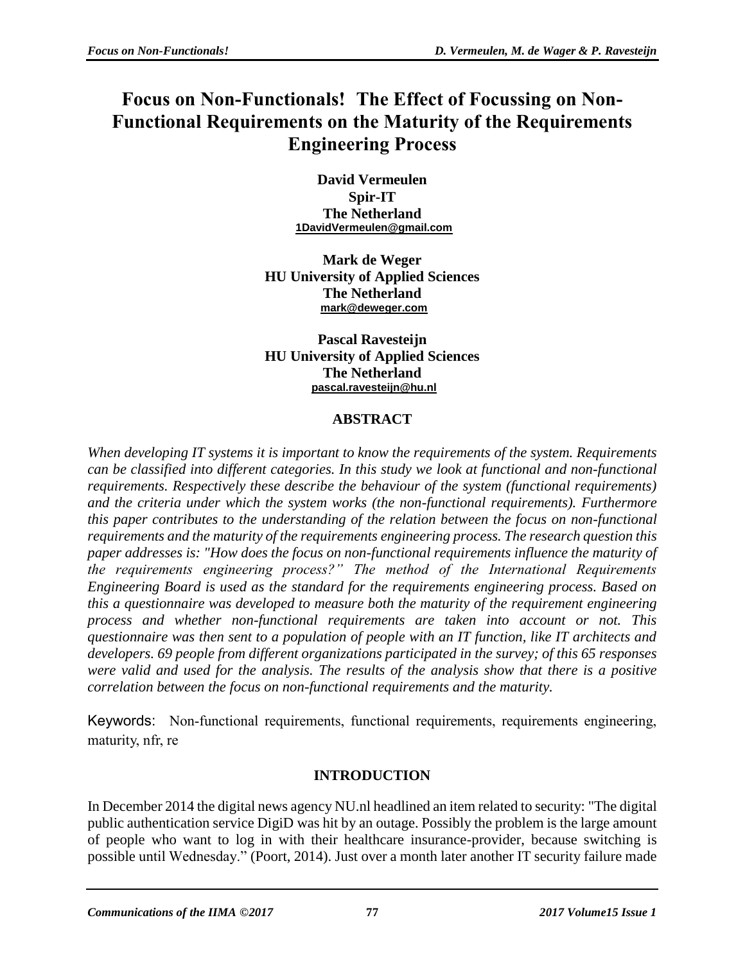# **Focus on Non-Functionals! The Effect of Focussing on Non-Functional Requirements on the Maturity of the Requirements Engineering Process**

**David Vermeulen Spir-IT The Netherland [1DavidVermeulen@gmail.com](mailto:1DavidVermeulen@gmail.com)**

**Mark de Weger HU University of Applied Sciences The Netherland [mark@deweger.com](mailto:mark@deweger.com)**

**Pascal Ravesteijn HU University of Applied Sciences The Netherland [pascal.ravesteijn@hu.nl](mailto:pascal.ravesteijn@hu.nl)**

### **ABSTRACT**

*When developing IT systems it is important to know the requirements of the system. Requirements can be classified into different categories. In this study we look at functional and non-functional requirements. Respectively these describe the behaviour of the system (functional requirements) and the criteria under which the system works (the non-functional requirements). Furthermore this paper contributes to the understanding of the relation between the focus on non-functional requirements and the maturity of the requirements engineering process. The research question this paper addresses is: "How does the focus on non-functional requirements influence the maturity of the requirements engineering process?" The method of the International Requirements Engineering Board is used as the standard for the requirements engineering process. Based on this a questionnaire was developed to measure both the maturity of the requirement engineering process and whether non-functional requirements are taken into account or not. This questionnaire was then sent to a population of people with an IT function, like IT architects and developers. 69 people from different organizations participated in the survey; of this 65 responses were valid and used for the analysis. The results of the analysis show that there is a positive correlation between the focus on non-functional requirements and the maturity.*

Keywords: Non-functional requirements, functional requirements, requirements engineering, maturity, nfr, re

## **INTRODUCTION**

In December 2014 the digital news agency NU.nl headlined an item related to security: "The digital public authentication service DigiD was hit by an outage. Possibly the problem is the large amount of people who want to log in with their healthcare insurance-provider, because switching is possible until Wednesday." (Poort, 2014). Just over a month later another IT security failure made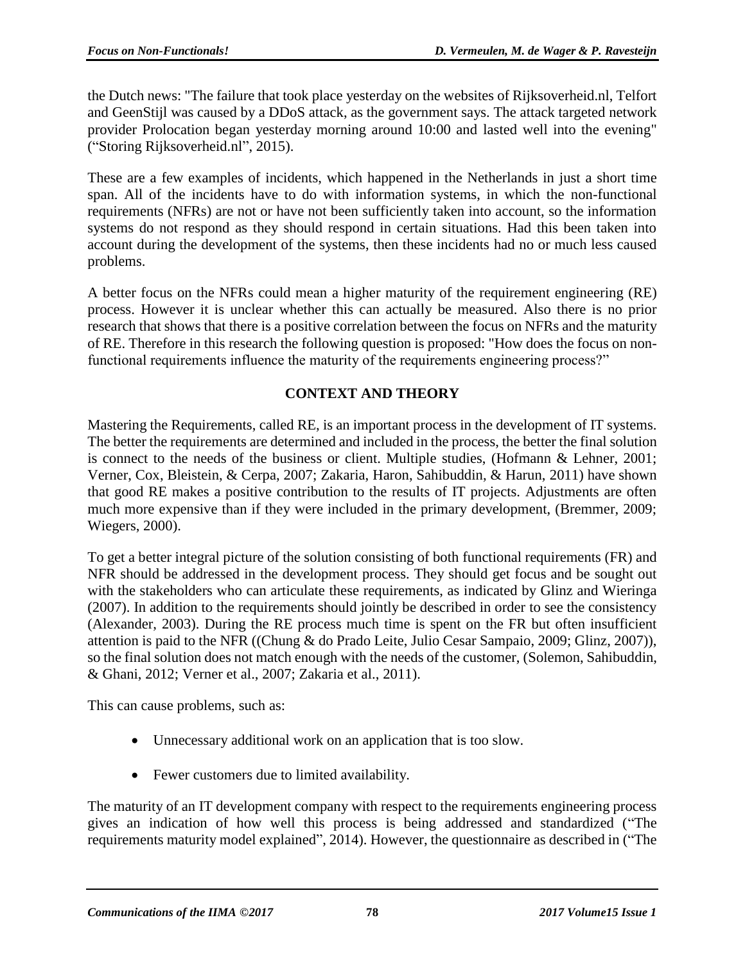the Dutch news: "The failure that took place yesterday on the websites of Rijksoverheid.nl, Telfort and GeenStijl was caused by a DDoS attack, as the government says. The attack targeted network provider Prolocation began yesterday morning around 10:00 and lasted well into the evening" ("Storing Rijksoverheid.nl", 2015).

These are a few examples of incidents, which happened in the Netherlands in just a short time span. All of the incidents have to do with information systems, in which the non-functional requirements (NFRs) are not or have not been sufficiently taken into account, so the information systems do not respond as they should respond in certain situations. Had this been taken into account during the development of the systems, then these incidents had no or much less caused problems.

A better focus on the NFRs could mean a higher maturity of the requirement engineering (RE) process. However it is unclear whether this can actually be measured. Also there is no prior research that shows that there is a positive correlation between the focus on NFRs and the maturity of RE. Therefore in this research the following question is proposed: "How does the focus on nonfunctional requirements influence the maturity of the requirements engineering process?"

### **CONTEXT AND THEORY**

Mastering the Requirements, called RE, is an important process in the development of IT systems. The better the requirements are determined and included in the process, the better the final solution is connect to the needs of the business or client. Multiple studies, (Hofmann & Lehner, 2001; Verner, Cox, Bleistein, & Cerpa, 2007; Zakaria, Haron, Sahibuddin, & Harun, 2011) have shown that good RE makes a positive contribution to the results of IT projects. Adjustments are often much more expensive than if they were included in the primary development, (Bremmer, 2009; Wiegers, 2000).

To get a better integral picture of the solution consisting of both functional requirements (FR) and NFR should be addressed in the development process. They should get focus and be sought out with the stakeholders who can articulate these requirements, as indicated by Glinz and Wieringa (2007). In addition to the requirements should jointly be described in order to see the consistency (Alexander, 2003). During the RE process much time is spent on the FR but often insufficient attention is paid to the NFR ((Chung & do Prado Leite, Julio Cesar Sampaio, 2009; Glinz, 2007)), so the final solution does not match enough with the needs of the customer, (Solemon, Sahibuddin, & Ghani, 2012; Verner et al., 2007; Zakaria et al., 2011).

This can cause problems, such as:

- Unnecessary additional work on an application that is too slow.
- Fewer customers due to limited availability.

The maturity of an IT development company with respect to the requirements engineering process gives an indication of how well this process is being addressed and standardized ("The requirements maturity model explained", 2014). However, the questionnaire as described in ("The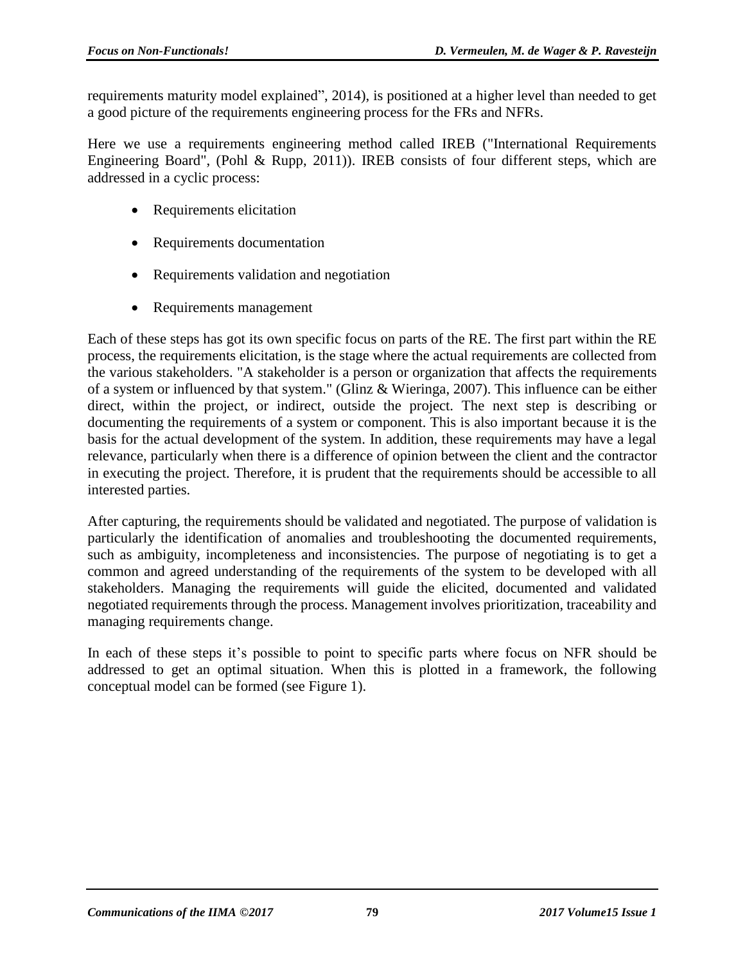requirements maturity model explained", 2014), is positioned at a higher level than needed to get a good picture of the requirements engineering process for the FRs and NFRs.

Here we use a requirements engineering method called IREB ("International Requirements Engineering Board", (Pohl & Rupp, 2011)). IREB consists of four different steps, which are addressed in a cyclic process:

- Requirements elicitation
- Requirements documentation
- Requirements validation and negotiation
- Requirements management

Each of these steps has got its own specific focus on parts of the RE. The first part within the RE process, the requirements elicitation, is the stage where the actual requirements are collected from the various stakeholders. "A stakeholder is a person or organization that affects the requirements of a system or influenced by that system." (Glinz & Wieringa, 2007). This influence can be either direct, within the project, or indirect, outside the project. The next step is describing or documenting the requirements of a system or component. This is also important because it is the basis for the actual development of the system. In addition, these requirements may have a legal relevance, particularly when there is a difference of opinion between the client and the contractor in executing the project. Therefore, it is prudent that the requirements should be accessible to all interested parties.

After capturing, the requirements should be validated and negotiated. The purpose of validation is particularly the identification of anomalies and troubleshooting the documented requirements, such as ambiguity, incompleteness and inconsistencies. The purpose of negotiating is to get a common and agreed understanding of the requirements of the system to be developed with all stakeholders. Managing the requirements will guide the elicited, documented and validated negotiated requirements through the process. Management involves prioritization, traceability and managing requirements change.

In each of these steps it's possible to point to specific parts where focus on NFR should be addressed to get an optimal situation. When this is plotted in a framework, the following conceptual model can be formed (see Figure 1).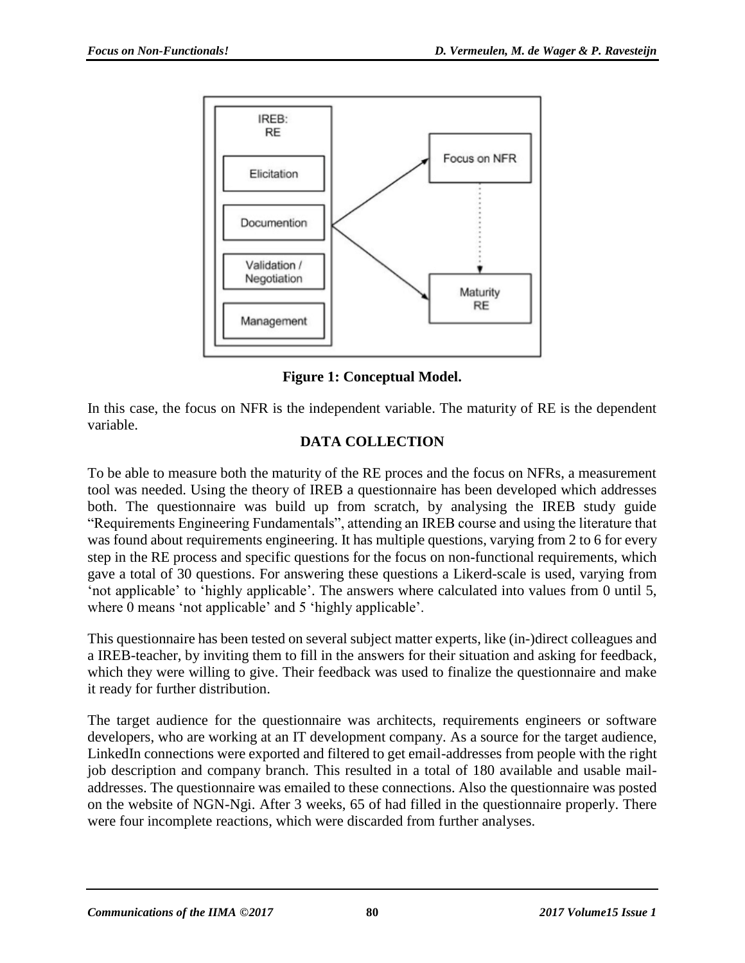

**Figure 1: Conceptual Model.**

In this case, the focus on NFR is the independent variable. The maturity of RE is the dependent variable.

## **DATA COLLECTION**

To be able to measure both the maturity of the RE proces and the focus on NFRs, a measurement tool was needed. Using the theory of IREB a questionnaire has been developed which addresses both. The questionnaire was build up from scratch, by analysing the IREB study guide "Requirements Engineering Fundamentals", attending an IREB course and using the literature that was found about requirements engineering. It has multiple questions, varying from 2 to 6 for every step in the RE process and specific questions for the focus on non-functional requirements, which gave a total of 30 questions. For answering these questions a Likerd-scale is used, varying from 'not applicable' to 'highly applicable'. The answers where calculated into values from 0 until 5, where 0 means 'not applicable' and 5 'highly applicable'.

This questionnaire has been tested on several subject matter experts, like (in-)direct colleagues and a IREB-teacher, by inviting them to fill in the answers for their situation and asking for feedback, which they were willing to give. Their feedback was used to finalize the questionnaire and make it ready for further distribution.

The target audience for the questionnaire was architects, requirements engineers or software developers, who are working at an IT development company. As a source for the target audience, LinkedIn connections were exported and filtered to get email-addresses from people with the right job description and company branch. This resulted in a total of 180 available and usable mailaddresses. The questionnaire was emailed to these connections. Also the questionnaire was posted on the website of NGN-Ngi. After 3 weeks, 65 of had filled in the questionnaire properly. There were four incomplete reactions, which were discarded from further analyses.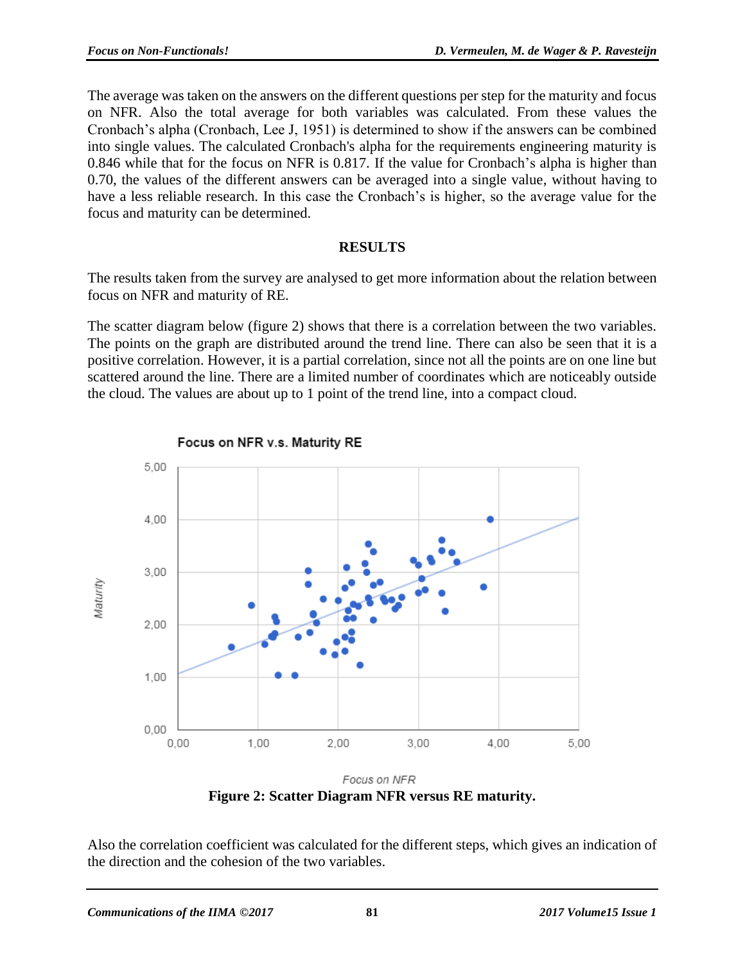The average was taken on the answers on the different questions per step for the maturity and focus on NFR. Also the total average for both variables was calculated. From these values the Cronbach's alpha (Cronbach, Lee J, 1951) is determined to show if the answers can be combined into single values. The calculated Cronbach's alpha for the requirements engineering maturity is 0.846 while that for the focus on NFR is 0.817. If the value for Cronbach's alpha is higher than 0.70, the values of the different answers can be averaged into a single value, without having to have a less reliable research. In this case the Cronbach's is higher, so the average value for the focus and maturity can be determined.

#### **RESULTS**

The results taken from the survey are analysed to get more information about the relation between focus on NFR and maturity of RE.

The scatter diagram below (figure 2) shows that there is a correlation between the two variables. The points on the graph are distributed around the trend line. There can also be seen that it is a positive correlation. However, it is a partial correlation, since not all the points are on one line but scattered around the line. There are a limited number of coordinates which are noticeably outside the cloud. The values are about up to 1 point of the trend line, into a compact cloud.



Focus on NFR v.s. Maturity RE

Focus on NFR **Figure 2: Scatter Diagram NFR versus RE maturity.**

Also the correlation coefficient was calculated for the different steps, which gives an indication of the direction and the cohesion of the two variables.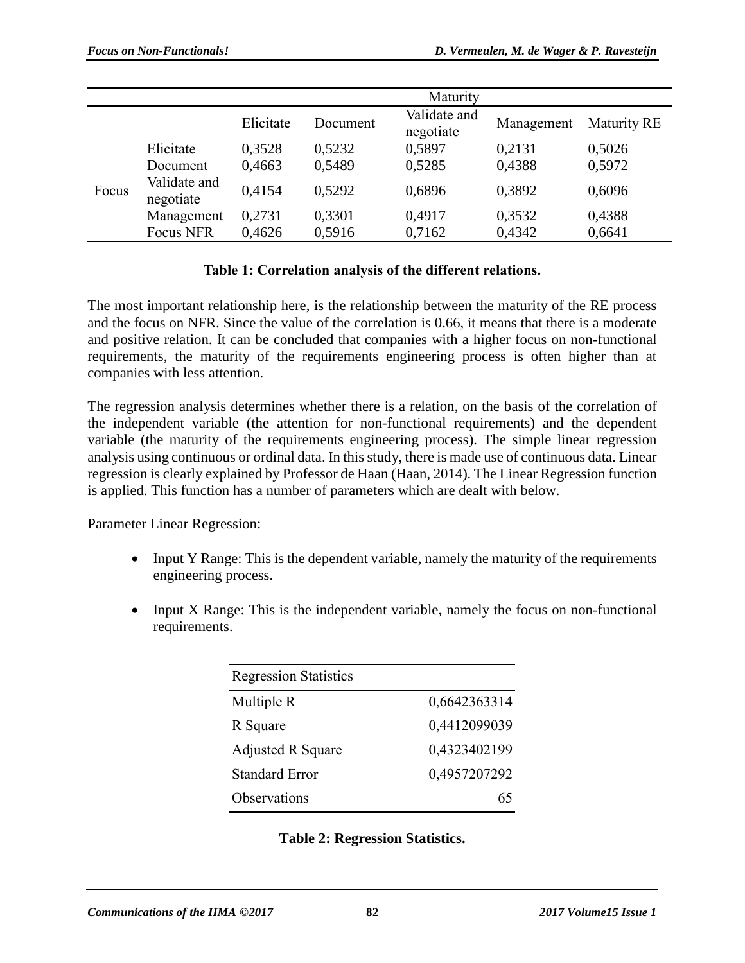|       |                                                                  |           |          | Maturity                  |            |                    |
|-------|------------------------------------------------------------------|-----------|----------|---------------------------|------------|--------------------|
|       |                                                                  | Elicitate | Document | Validate and<br>negotiate | Management | <b>Maturity RE</b> |
| Focus | Elicitate<br>Document<br>Validate and<br>negotiate<br>Management | 0,3528    | 0,5232   | 0,5897                    | 0,2131     | 0,5026             |
|       |                                                                  | 0,4663    | 0,5489   | 0,5285                    | 0,4388     | 0,5972             |
|       |                                                                  | 0,4154    | 0.5292   | 0,6896                    | 0,3892     | 0,6096             |
|       |                                                                  | 0,2731    | 0,3301   | 0,4917                    | 0,3532     | 0,4388             |
|       | <b>Focus NFR</b>                                                 | 0,4626    | 0,5916   | 0,7162                    | 0,4342     | 0,6641             |

### **Table 1: Correlation analysis of the different relations.**

The most important relationship here, is the relationship between the maturity of the RE process and the focus on NFR. Since the value of the correlation is 0.66, it means that there is a moderate and positive relation. It can be concluded that companies with a higher focus on non-functional requirements, the maturity of the requirements engineering process is often higher than at companies with less attention.

The regression analysis determines whether there is a relation, on the basis of the correlation of the independent variable (the attention for non-functional requirements) and the dependent variable (the maturity of the requirements engineering process). The simple linear regression analysis using continuous or ordinal data. In this study, there is made use of continuous data. Linear regression is clearly explained by Professor de Haan (Haan, 2014). The Linear Regression function is applied. This function has a number of parameters which are dealt with below.

Parameter Linear Regression:

- Input Y Range: This is the dependent variable, namely the maturity of the requirements engineering process.
- Input X Range: This is the independent variable, namely the focus on non-functional requirements.

| <b>Regression Statistics</b> |              |  |  |  |  |
|------------------------------|--------------|--|--|--|--|
| Multiple R                   | 0,6642363314 |  |  |  |  |
| R Square                     | 0,4412099039 |  |  |  |  |
| <b>Adjusted R Square</b>     | 0,4323402199 |  |  |  |  |
| <b>Standard Error</b>        | 0,4957207292 |  |  |  |  |
| Observations                 |              |  |  |  |  |

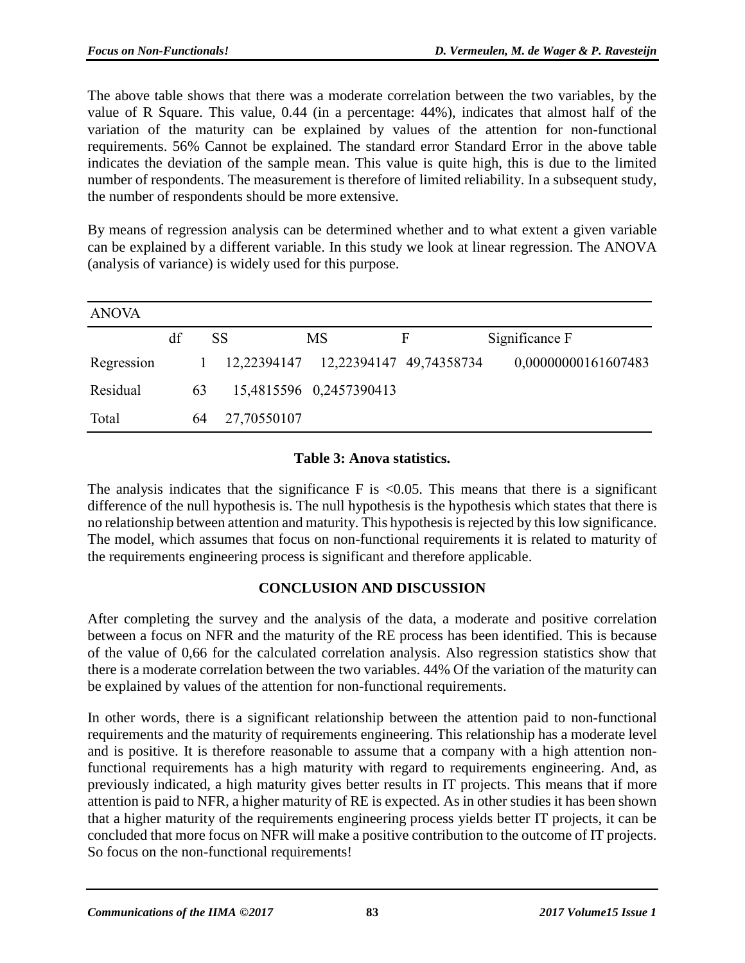The above table shows that there was a moderate correlation between the two variables, by the value of R Square. This value, 0.44 (in a percentage: 44%), indicates that almost half of the variation of the maturity can be explained by values of the attention for non-functional requirements. 56% Cannot be explained. The standard error Standard Error in the above table indicates the deviation of the sample mean. This value is quite high, this is due to the limited number of respondents. The measurement is therefore of limited reliability. In a subsequent study, the number of respondents should be more extensive.

By means of regression analysis can be determined whether and to what extent a given variable can be explained by a different variable. In this study we look at linear regression. The ANOVA (analysis of variance) is widely used for this purpose.

| <b>ANOVA</b> |    |    |             |    |                         |                                       |                     |
|--------------|----|----|-------------|----|-------------------------|---------------------------------------|---------------------|
|              | df |    | <b>SS</b>   | MS |                         | F                                     | Significance F      |
| Regression   |    |    |             |    |                         | 12,22394147  12,22394147  49,74358734 | 0,00000000161607483 |
| Residual     |    | 63 |             |    | 15,4815596 0,2457390413 |                                       |                     |
| Total        |    | 64 | 27,70550107 |    |                         |                                       |                     |

#### **Table 3: Anova statistics.**

The analysis indicates that the significance  $F$  is  $\langle 0.05$ . This means that there is a significant difference of the null hypothesis is. The null hypothesis is the hypothesis which states that there is no relationship between attention and maturity. This hypothesis is rejected by this low significance. The model, which assumes that focus on non-functional requirements it is related to maturity of the requirements engineering process is significant and therefore applicable.

### **CONCLUSION AND DISCUSSION**

After completing the survey and the analysis of the data, a moderate and positive correlation between a focus on NFR and the maturity of the RE process has been identified. This is because of the value of 0,66 for the calculated correlation analysis. Also regression statistics show that there is a moderate correlation between the two variables. 44% Of the variation of the maturity can be explained by values of the attention for non-functional requirements.

In other words, there is a significant relationship between the attention paid to non-functional requirements and the maturity of requirements engineering. This relationship has a moderate level and is positive. It is therefore reasonable to assume that a company with a high attention nonfunctional requirements has a high maturity with regard to requirements engineering. And, as previously indicated, a high maturity gives better results in IT projects. This means that if more attention is paid to NFR, a higher maturity of RE is expected. As in other studies it has been shown that a higher maturity of the requirements engineering process yields better IT projects, it can be concluded that more focus on NFR will make a positive contribution to the outcome of IT projects. So focus on the non-functional requirements!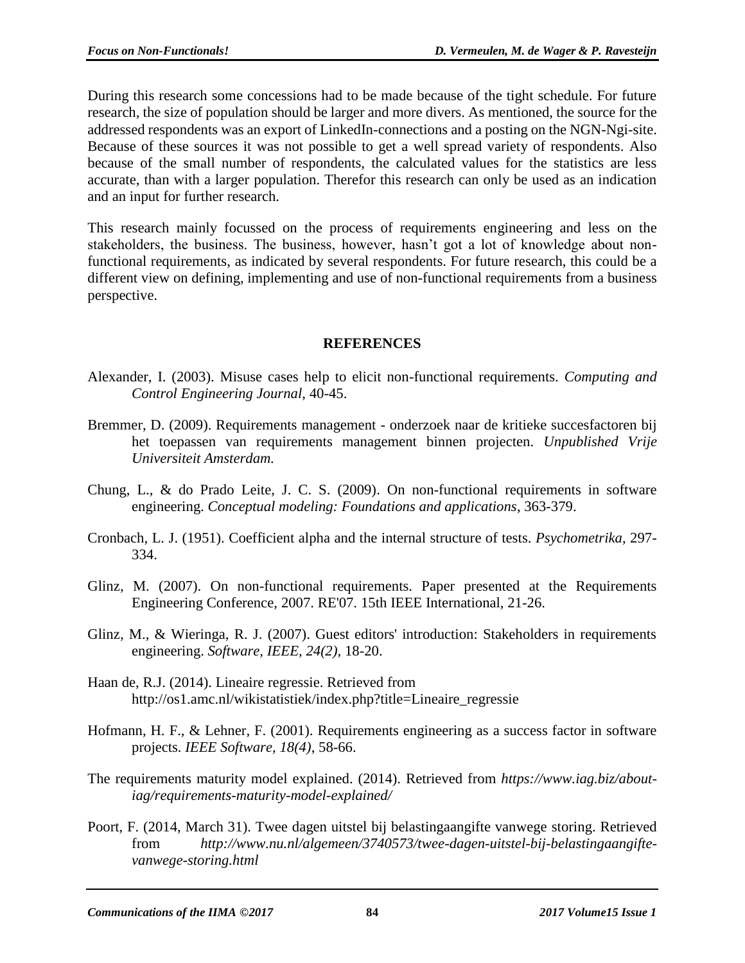During this research some concessions had to be made because of the tight schedule. For future research, the size of population should be larger and more divers. As mentioned, the source for the addressed respondents was an export of LinkedIn-connections and a posting on the NGN-Ngi-site. Because of these sources it was not possible to get a well spread variety of respondents. Also because of the small number of respondents, the calculated values for the statistics are less accurate, than with a larger population. Therefor this research can only be used as an indication and an input for further research.

This research mainly focussed on the process of requirements engineering and less on the stakeholders, the business. The business, however, hasn't got a lot of knowledge about nonfunctional requirements, as indicated by several respondents. For future research, this could be a different view on defining, implementing and use of non-functional requirements from a business perspective.

#### **REFERENCES**

- Alexander, I. (2003). Misuse cases help to elicit non-functional requirements. *Computing and Control Engineering Journal*, 40-45.
- Bremmer, D. (2009). Requirements management onderzoek naar de kritieke succesfactoren bij het toepassen van requirements management binnen projecten. *Unpublished Vrije Universiteit Amsterdam.*
- Chung, L., & do Prado Leite, J. C. S. (2009). On non-functional requirements in software engineering. *Conceptual modeling: Foundations and applications*, 363-379.
- Cronbach, L. J. (1951). Coefficient alpha and the internal structure of tests. *Psychometrika*, 297- 334.
- Glinz, M. (2007). On non-functional requirements. Paper presented at the Requirements Engineering Conference, 2007. RE'07. 15th IEEE International, 21-26.
- Glinz, M., & Wieringa, R. J. (2007). Guest editors' introduction: Stakeholders in requirements engineering. *Software, IEEE, 24(2)*, 18-20.
- Haan de, R.J. (2014). Lineaire regressie. Retrieved from http://os1.amc.nl/wikistatistiek/index.php?title=Lineaire\_regressie
- Hofmann, H. F., & Lehner, F. (2001). Requirements engineering as a success factor in software projects. *IEEE Software, 18(4)*, 58-66.
- The requirements maturity model explained. (2014). Retrieved from *https://www.iag.biz/aboutiag/requirements-maturity-model-explained/*
- Poort, F. (2014, March 31). Twee dagen uitstel bij belastingaangifte vanwege storing. Retrieved from *http://www.nu.nl/algemeen/3740573/twee-dagen-uitstel-bij-belastingaangiftevanwege-storing.html*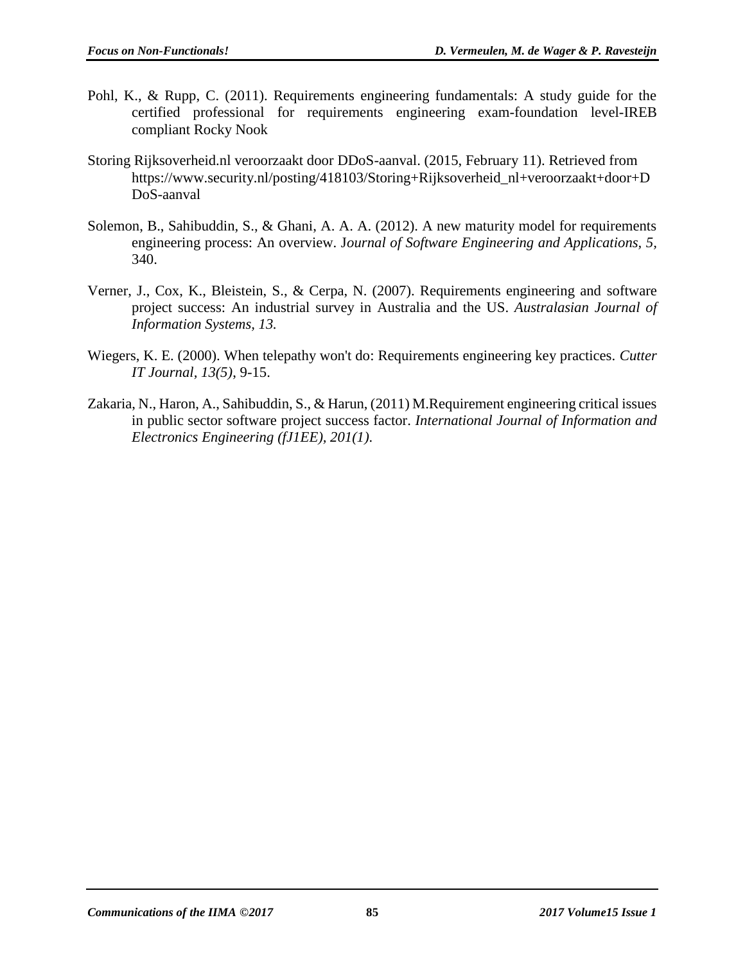- Pohl, K., & Rupp, C. (2011). Requirements engineering fundamentals: A study guide for the certified professional for requirements engineering exam-foundation level-IREB compliant Rocky Nook
- Storing Rijksoverheid.nl veroorzaakt door DDoS-aanval. (2015, February 11). Retrieved from https://www.security.nl/posting/418103/Storing+Rijksoverheid\_nl+veroorzaakt+door+D DoS-aanval
- Solemon, B., Sahibuddin, S., & Ghani, A. A. A. (2012). A new maturity model for requirements engineering process: An overview. J*ournal of Software Engineering and Applications, 5,* 340.
- Verner, J., Cox, K., Bleistein, S., & Cerpa, N. (2007). Requirements engineering and software project success: An industrial survey in Australia and the US. *Australasian Journal of Information Systems, 13.*
- Wiegers, K. E. (2000). When telepathy won't do: Requirements engineering key practices. *Cutter IT Journal, 13(5)*, 9-15.
- Zakaria, N., Haron, A., Sahibuddin, S., & Harun, (2011) M.Requirement engineering critical issues in public sector software project success factor. *International Journal of Information and Electronics Engineering (fJ1EE), 201(1).*